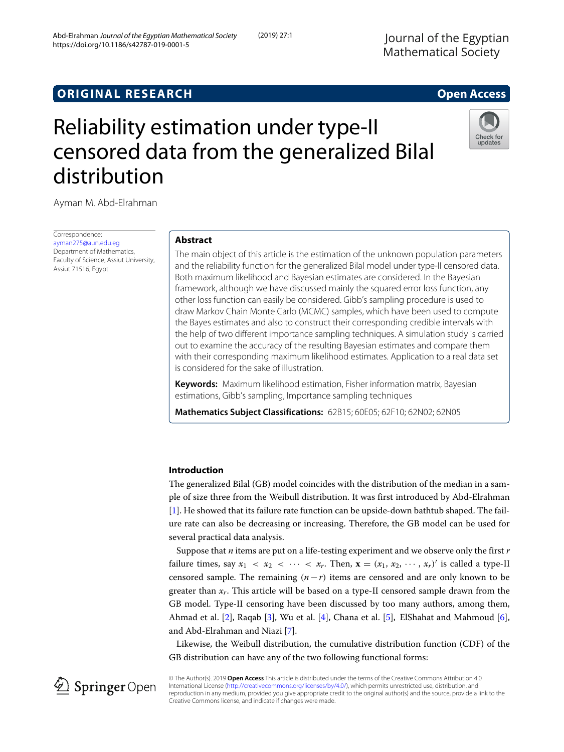# **ORIGINAL RESEARCH Open Access**

# Reliability estimation under type-II censored data from the generalized Bilal distribution

Ayman M. Abd-Elrahman

Correspondence: [ayman275@aun.edu.eg](mailto: ayman275@aun.edu.eg) Department of Mathematics, Faculty of Science, Assiut University, Assiut 71516, Egypt

# **Abstract**

The main object of this article is the estimation of the unknown population parameters and the reliability function for the generalized Bilal model under type-II censored data. Both maximum likelihood and Bayesian estimates are considered. In the Bayesian framework, although we have discussed mainly the squared error loss function, any other loss function can easily be considered. Gibb's sampling procedure is used to draw Markov Chain Monte Carlo (MCMC) samples, which have been used to compute the Bayes estimates and also to construct their corresponding credible intervals with the help of two different importance sampling techniques. A simulation study is carried out to examine the accuracy of the resulting Bayesian estimates and compare them with their corresponding maximum likelihood estimates. Application to a real data set is considered for the sake of illustration.

**Keywords:** Maximum likelihood estimation, Fisher information matrix, Bayesian estimations, Gibb's sampling, Importance sampling techniques

**Mathematics Subject Classifications:** 62B15; 60E05; 62F10; 62N02; 62N05

# **Introduction**

The generalized Bilal (GB) model coincides with the distribution of the median in a sample of size three from the Weibull distribution. It was first introduced by Abd-Elrahman [\[1\]](#page-14-0). He showed that its failure rate function can be upside-down bathtub shaped. The failure rate can also be decreasing or increasing. Therefore, the GB model can be used for several practical data analysis.

Suppose that *n* items are put on a life-testing experiment and we observe only the first *r* failure times, say  $x_1 < x_2 < \cdots < x_r$ . Then,  $\mathbf{x} = (x_1, x_2, \cdots, x_r)'$  is called a type-II censored sample. The remaining  $(n - r)$  items are censored and are only known to be greater than *xr*. This article will be based on a type-II censored sample drawn from the GB model. Type-II censoring have been discussed by too many authors, among them, Ahmad et al. [\[2\]](#page-14-1), Raqab [\[3\]](#page-14-2), Wu et al. [\[4\]](#page-14-3), Chana et al. [\[5\]](#page-14-4), ElShahat and Mahmoud [\[6\]](#page-14-5), and Abd-Elrahman and Niazi [\[7\]](#page-14-6).

Likewise, the Weibull distribution, the cumulative distribution function (CDF) of the GB distribution can have any of the two following functional forms:

© The Author(s). 2019 **Open Access** This article is distributed under the terms of the Creative Commons Attribution 4.0 International License [\(http://creativecommons.org/licenses/by/4.0/\)](http://creativecommons.org/licenses/by/4.0/), which permits unrestricted use, distribution, and reproduction in any medium, provided you give appropriate credit to the original author(s) and the source, provide a link to the Creative Commons license, and indicate if changes were made.







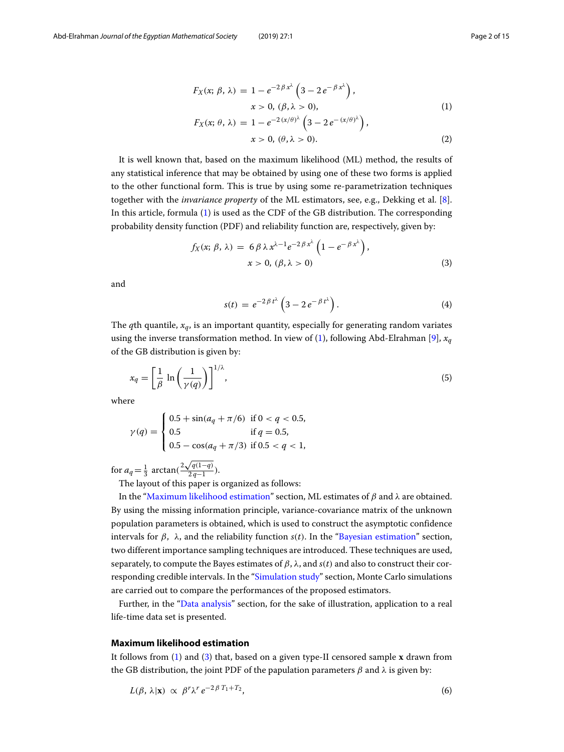<span id="page-1-0"></span>
$$
F_X(x; \beta, \lambda) = 1 - e^{-2\beta x^{\lambda}} \left(3 - 2e^{-\beta x^{\lambda}}\right),
$$
  
\n
$$
x > 0, (\beta, \lambda > 0),
$$
  
\n
$$
F_X(x; \theta, \lambda) = 1 - e^{-2(x/\theta)^{\lambda}} \left(3 - 2e^{-(x/\theta)^{\lambda}}\right),
$$
  
\n
$$
x > 0, (\theta, \lambda > 0).
$$
\n(2)

It is well known that, based on the maximum likelihood (ML) method, the results of any statistical inference that may be obtained by using one of these two forms is applied to the other functional form. This is true by using some re-parametrization techniques together with the *invariance property* of the ML estimators, see, e.g., Dekking et al. [\[8\]](#page-14-7). In this article, formula [\(1\)](#page-1-0) is used as the CDF of the GB distribution. The corresponding probability density function (PDF) and reliability function are, respectively, given by:

<span id="page-1-2"></span>
$$
f_X(x; \beta, \lambda) = 6 \beta \lambda x^{\lambda - 1} e^{-2\beta x^{\lambda}} \left( 1 - e^{-\beta x^{\lambda}} \right),
$$
  

$$
x > 0, (\beta, \lambda > 0)
$$
 (3)

and

<span id="page-1-4"></span>
$$
s(t) = e^{-2\beta t^{\lambda}} \left( 3 - 2e^{-\beta t^{\lambda}} \right).
$$
 (4)

The *q*th quantile, *xq*, is an important quantity, especially for generating random variates using the inverse transformation method. In view of [\(1\)](#page-1-0), following Abd-Elrahman [\[9\]](#page-14-8),  $x_q$ of the GB distribution is given by:

$$
x_q = \left[\frac{1}{\beta} \ln\left(\frac{1}{\gamma(q)}\right)\right]^{1/\lambda},\tag{5}
$$

where

$$
\gamma(q) = \begin{cases} 0.5 + \sin(a_q + \pi/6) & \text{if } 0 < q < 0.5, \\ 0.5 & \text{if } q = 0.5, \\ 0.5 - \cos(a_q + \pi/3) & \text{if } 0.5 < q < 1, \end{cases}
$$

for  $a_q = \frac{1}{3} \arctan(\frac{2\sqrt{q(1-q)}}{2q-1})$  $\frac{q(1-q)}{2q-1}$ ).

The layout of this paper is organized as follows:

In the ["Maximum likelihood estimation"](#page-1-1) section, ML estimates of β and λ are obtained. By using the missing information principle, variance-covariance matrix of the unknown population parameters is obtained, which is used to construct the asymptotic confidence intervals for  $β$ ,  $λ$ , and the reliability function  $s(t)$ . In the ["Bayesian estimation"](#page-6-0) section, two different importance sampling techniques are introduced. These techniques are used, separately, to compute the Bayes estimates of  $\beta$ ,  $\lambda$ , and  $s(t)$  and also to construct their corresponding credible intervals. In the ["Simulation study"](#page-8-0) section, Monte Carlo simulations are carried out to compare the performances of the proposed estimators.

Further, in the ["Data analysis"](#page-9-0) section, for the sake of illustration, application to a real life-time data set is presented.

#### <span id="page-1-1"></span>**Maximum likelihood estimation**

<span id="page-1-5"></span>It follows from [\(1\)](#page-1-0) and [\(3\)](#page-1-2) that, based on a given type-II censored sample **x** drawn from the GB distribution, the joint PDF of the papulation parameters  $\beta$  and  $\lambda$  is given by:

<span id="page-1-3"></span>
$$
L(\beta, \lambda | \mathbf{x}) \propto \beta^r \lambda^r e^{-2\beta T_1 + T_2}, \tag{6}
$$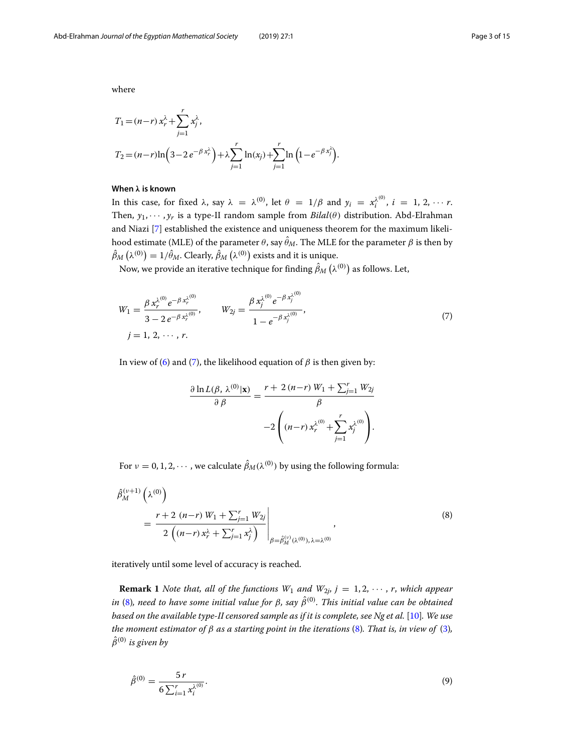where

$$
T_1 = (n-r) x_r^{\lambda} + \sum_{j=1}^r x_j^{\lambda},
$$
  
\n
$$
T_2 = (n-r) \ln \left( 3 - 2 e^{-\beta x_r^{\lambda}} \right) + \lambda \sum_{j=1}^r \ln(x_j) + \sum_{j=1}^r \ln \left( 1 - e^{-\beta x_j^{\lambda}} \right).
$$

## **When** *λ* **is known**

In this case, for fixed  $\lambda$ , say  $\lambda = \lambda^{(0)}$ , let  $\theta = 1/\beta$  and  $y_i = x_i^{\lambda^{(0)}}$ ,  $i = 1, 2, \cdots r$ . Then,  $y_1, \dots, y_r$  is a type-II random sample from  $Bilal(\theta)$  distribution. Abd-Elrahman and Niazi [\[7\]](#page-14-6) established the existence and uniqueness theorem for the maximum likelihood estimate (MLE) of the parameter  $\theta$ , say  $\hat{\theta}_M.$  The MLE for the parameter  $\beta$  is then by  $\hat{\beta}_M\left(\lambda^{(0)}\right)=1/\hat{\theta}_M.$  Clearly,  $\hat{\beta}_M\left(\lambda^{(0)}\right)$  exists and it is unique.

Now, we provide an iterative technique for finding  $\hat{\beta}_M\left(\lambda^{(0)}\right)$  as follows. Let,

$$
W_1 = \frac{\beta x_r^{\lambda^{(0)}} e^{-\beta x_r^{\lambda^{(0)}}}}{3 - 2 e^{-\beta x_r^{\lambda^{(0)}}}}, \qquad W_{2j} = \frac{\beta x_j^{\lambda^{(0)}} e^{-\beta x_j^{\lambda^{(0)}}}}{1 - e^{-\beta x_j^{\lambda^{(0)}}}},
$$
  
\n $j = 1, 2, \dots, r.$  (7)

In view of [\(6\)](#page-1-3) and [\(7\)](#page-2-0), the likelihood equation of  $β$  is then given by:

<span id="page-2-1"></span><span id="page-2-0"></span>
$$
\frac{\partial \ln L(\beta, \lambda^{(0)} | \mathbf{x})}{\partial \beta} = \frac{r + 2(n-r) W_1 + \sum_{j=1}^r W_{2j}}{\beta}
$$

$$
-2 \left( (n-r) \, x_r^{\lambda^{(0)}} + \sum_{j=1}^r x_j^{\lambda^{(0)}} \right).
$$

For  $\nu = 0, 1, 2, \cdots$  , we calculate  $\hat{\beta}_M(\lambda^{(0)})$  by using the following formula:

$$
\hat{\beta}_{M}^{(\nu+1)}\left(\lambda^{(0)}\right) = \frac{r+2\ (n-r)\ W_1 + \sum_{j=1}^{r} W_{2j}}{2\left((n-r)\ x_r^{\lambda} + \sum_{j=1}^{r} x_j^{\lambda}\right)}\Bigg|_{\beta = \hat{\beta}_{M}^{(\nu)}(\lambda^{(0)}), \lambda = \lambda^{(0)}}
$$
\n(8)

iteratively until some level of accuracy is reached.

**Remark 1** *Note that, all of the functions*  $W_1$  *and*  $W_{2j}$ ,  $j = 1, 2, \dots$ , *r*, *which appear* in [\(8\)](#page-2-1), need to have some initial value for β, say  $\hat{\beta}^{(0)}.$  This initial value can be obtained *based on the available type-II censored sample as if it is complete, see Ng et al.* [\[10\]](#page-14-9)*. We use the moment estimator of* β *as a starting point in the iterations* [\(8\)](#page-2-1)*. That is, in view of* [\(3\)](#page-1-2)*,*  $\hat{\beta}^{(0)}$  *is given by* 

<span id="page-2-2"></span>
$$
\hat{\beta}^{(0)} = \frac{5r}{6\sum_{i=1}^{r} x_i^{\lambda^{(0)}}}.
$$
\n(9)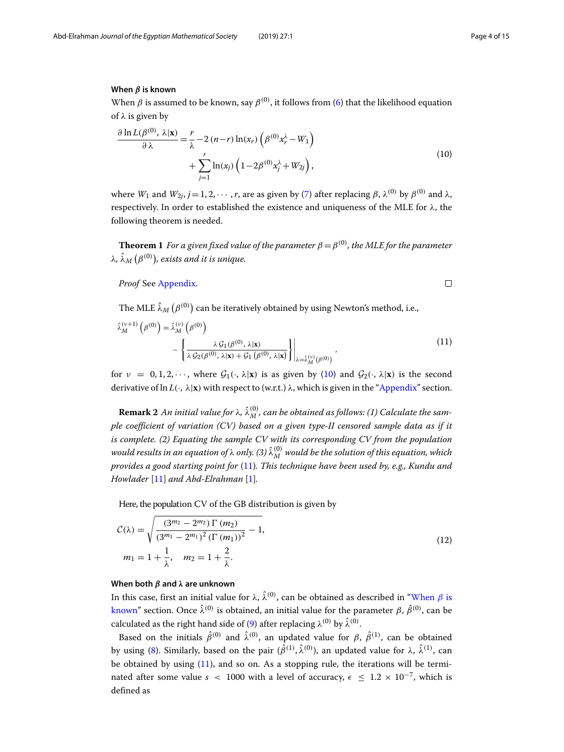#### **When** *β* **is known**

<span id="page-3-2"></span>When  $\beta$  is assumed to be known, say  $\beta^{(0)}$ , it follows from [\(6\)](#page-1-3) that the likelihood equation of  $\lambda$  is given by

<span id="page-3-0"></span>
$$
\frac{\partial \ln L(\beta^{(0)}, \lambda | \mathbf{x})}{\partial \lambda} = \frac{r}{\lambda} - 2 (n-r) \ln(x_r) \left( \beta^{(0)} x_r^{\lambda} - W_1 \right) + \sum_{j=1}^r \ln(x_j) \left( 1 - 2 \beta^{(0)} x_j^{\lambda} + W_{2j} \right), \tag{10}
$$

where *W*<sub>1</sub> and *W*<sub>2*j*</sub>, *j* = 1, 2,  $\cdots$  , *r*, are as given by [\(7\)](#page-2-0) after replacing  $\beta$ ,  $\lambda^{(0)}$  by  $\beta^{(0)}$  and  $\lambda$ , respectively. In order to established the existence and uniqueness of the MLE for  $\lambda$ , the following theorem is needed.

<span id="page-3-4"></span>**Theorem 1** *For a given fixed value of the parameter*  $\beta = \beta^{(0)}$ *, the MLE for the parameter* λ,  $\hat{\lambda}_M\left(\beta^{(0)}\right)$ , exists and it is unique.

*Proof* See [Appendix.](#page-12-0)

<span id="page-3-1"></span> $\Box$ 

The MLE  $\hat{\lambda}_M\left(\beta^{(0)}\right)$  can be iteratively obtained by using Newton's method, i.e.,

$$
\hat{\lambda}_{M}^{(\nu+1)}\left(\beta^{(0)}\right) = \hat{\lambda}_{M}^{(\nu)}\left(\beta^{(0)}\right) - \left\{\frac{\lambda \mathcal{G}_{1}(\beta^{(0)}, \lambda|\mathbf{x})}{\lambda \mathcal{G}_{2}(\beta^{(0)}, \lambda|\mathbf{x}) + \mathcal{G}_{1}\left(\beta^{(0)}, \lambda|\mathbf{x}\right)}\right\}\bigg|_{\lambda = \hat{\lambda}_{M}^{(\nu)}(\beta^{(0)})},\tag{11}
$$

for  $v = 0, 1, 2, \dots$ , where  $G_1(\cdot, \lambda | \mathbf{x})$  is as given by [\(10\)](#page-3-0) and  $G_2(\cdot, \lambda | \mathbf{x})$  is the second derivative of  $\ln L(\cdot, \lambda | \mathbf{x})$  with respect to (w.r.t.)  $\lambda$ , which is given in the ["Appendix"](#page-12-0) section.

 ${\bf Remark\ 2}$  An initial value for  $\lambda$ ,  $\hat\lambda_M^{(0)}$ , can be obtained as follows: (1) Calculate the sam*ple coefficient of variation (CV) based on a given type-II censored sample data as if it is complete. (2) Equating the sample CV with its corresponding CV from the population* would results in an equation of  $\lambda$  only. (3)  $\hat{\lambda}_{M}^{(0)}$  would be the solution of this equation, which *provides a good starting point for* [\(11\)](#page-3-1)*. This technique have been used by, e.g., Kundu and Howlader* [\[11\]](#page-14-10) *and Abd-Elrahman* [\[1\]](#page-14-0)*.*

<span id="page-3-3"></span>Here, the population CV of the GB distribution is given by

$$
\mathcal{C}(\lambda) = \sqrt{\frac{(3^{m_2} - 2^{m_2}) \Gamma (m_2)}{(3^{m_1} - 2^{m_1})^2 (\Gamma (m_1))^2} - 1},
$$
  
\n
$$
m_1 = 1 + \frac{1}{\lambda}, \quad m_2 = 1 + \frac{2}{\lambda}.
$$
\n(12)

#### **When both** *β* **and** *λ* **are unknown**

In this case, first an initial value for λ,  $\hat{\lambda}^{(0)}$ , can be obtained as described in ["When](#page-3-2)  $\beta$  is [known"](#page-3-2) section. Once  $\hat{\lambda}^{(0)}$  is obtained, an initial value for the parameter  $\beta$ ,  $\hat{\beta}^{(0)}$ , can be calculated as the right hand side of [\(9\)](#page-2-2) after replacing  $\lambda^{(0)}$  by  $\hat{\lambda}^{(0)}.$ 

Based on the initials  $\hat{\beta}^{(0)}$  and  $\hat{\lambda}^{(0)}$ , an updated value for  $\beta$ ,  $\hat{\beta}^{(1)}$ , can be obtained by using [\(8\)](#page-2-1). Similarly, based on the pair ( $\hat{\beta}^{(1)}, \hat{\lambda}^{(0)}$ ), an updated value for λ,  $\hat{\lambda}^{(1)}$ , can be obtained by using [\(11\)](#page-3-1), and so on. As a stopping rule, the iterations will be terminated after some value  $s < 1000$  with a level of accuracy,  $\epsilon \leq 1.2 \times 10^{-7}$ , which is defined as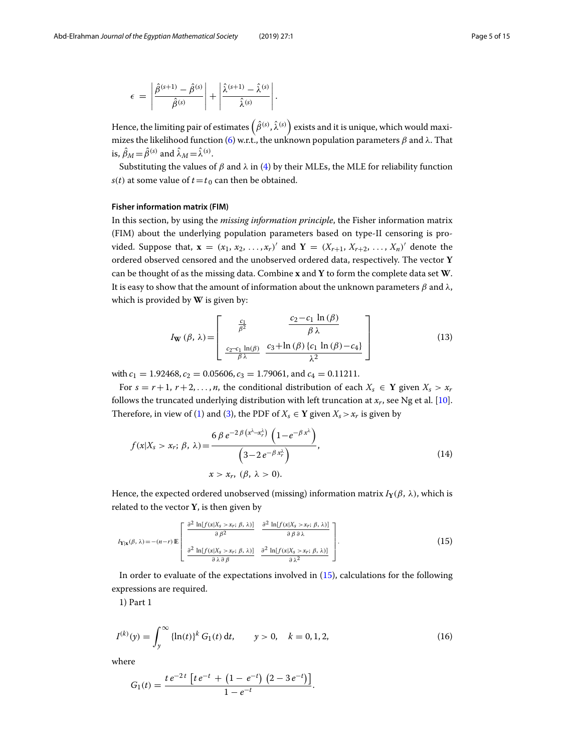$$
\epsilon = \left| \frac{\hat{\beta}^{(s+1)} - \hat{\beta}^{(s)}}{\hat{\beta}^{(s)}} \right| + \left| \frac{\hat{\lambda}^{(s+1)} - \hat{\lambda}^{(s)}}{\hat{\lambda}^{(s)}} \right|.
$$

Hence, the limiting pair of estimates  $\left(\hat{\beta}^{(s)},\hat{\lambda}^{(s)}\right)$  exists and it is unique, which would maxi-mizes the likelihood function [\(6\)](#page-1-3) w.r.t., the unknown population parameters  $β$  and  $λ$ . That is,  $\hat{\beta}_M = \hat{\beta}^{(s)}$  and  $\hat{\lambda}_M = \hat{\lambda}^{(s)}$ .

Substituting the values of  $\beta$  and  $\lambda$  in [\(4\)](#page-1-4) by their MLEs, the MLE for reliability function *s*(*t*) at some value of  $t = t_0$  can then be obtained.

#### **Fisher information matrix (FIM)**

In this section, by using the *missing information principle*, the Fisher information matrix (FIM) about the underlying population parameters based on type-II censoring is provided. Suppose that,  $\mathbf{x} = (x_1, x_2, \ldots, x_r)'$  and  $\mathbf{Y} = (X_{r+1}, X_{r+2}, \ldots, X_n)'$  denote the ordered observed censored and the unobserved ordered data, respectively. The vector **Y** can be thought of as the missing data. Combine **x** and **Y** to form the complete data set **W**. It is easy to show that the amount of information about the unknown parameters  $β$  and  $λ$ , which is provided by **W** is given by:

<span id="page-4-3"></span><span id="page-4-2"></span>
$$
I_{\mathbf{W}}(\beta, \lambda) = \begin{bmatrix} \frac{c_1}{\beta^2} & \frac{c_2 - c_1 \ln(\beta)}{\beta \lambda} \\ \frac{c_2 - c_1 \ln(\beta)}{\beta \lambda} & \frac{c_3 + \ln(\beta) \{c_1 \ln(\beta) - c_4\}}{\lambda^2} \end{bmatrix}
$$
(13)

with  $c_1 = 1.92468$ ,  $c_2 = 0.05606$ ,  $c_3 = 1.79061$ , and  $c_4 = 0.11211$ .

For  $s = r + 1$ ,  $r + 2, \ldots, n$ , the conditional distribution of each  $X_s \in Y$  given  $X_s > x_r$ follows the truncated underlying distribution with left truncation at  $x_r$ , see Ng et al. [\[10\]](#page-14-9). Therefore, in view of [\(1\)](#page-1-0) and [\(3\)](#page-1-2), the PDF of  $X_s \in \mathbf{Y}$  given  $X_s > x_r$  is given by

$$
f(x|X_s > x_r; \beta, \lambda) = \frac{6 \beta e^{-2\beta (x^{\lambda} - x_r^{\lambda})} \left(1 - e^{-\beta x^{\lambda}}\right)}{\left(3 - 2 e^{-\beta x_r^{\lambda}}\right)},
$$
  
\n
$$
x > x_r, (\beta, \lambda > 0).
$$
\n(14)

Hence, the expected ordered unobserved (missing) information matrix  $I_Y(\beta, \lambda)$ , which is related to the vector **Y**, is then given by

<span id="page-4-0"></span>
$$
I_{\mathbf{Y}|\mathbf{x}}(\beta,\lambda) = -(n-r)\mathbb{E}\left[\begin{array}{cc} \frac{\partial^2 \ln[f(x|X_s > x_r;\ \beta,\lambda)]}{\partial \beta^2} & \frac{\partial^2 \ln[f(x|X_s > x_r;\ \beta,\lambda)]}{\partial \beta \partial \lambda} \\ \frac{\partial^2 \ln[f(x|X_s > x_r;\ \beta,\lambda)]}{\partial \lambda \partial \beta} & \frac{\partial^2 \ln[f(x|X_s > x_r;\ \beta,\lambda)]}{\partial \lambda^2} \end{array}\right].\tag{15}
$$

In order to evaluate of the expectations involved in [\(15\)](#page-4-0), calculations for the following expressions are required.

<span id="page-4-1"></span>1) Part 1

$$
I^{(k)}(y) = \int_{y}^{\infty} {\{\ln(t)\}}^{k} G_1(t) dt, \qquad y > 0, \quad k = 0, 1, 2,
$$
 (16)

where

$$
G_1(t) = \frac{t e^{-2t} \left[ t e^{-t} + \left( 1 - e^{-t} \right) \left( 2 - 3 e^{-t} \right) \right]}{1 - e^{-t}}.
$$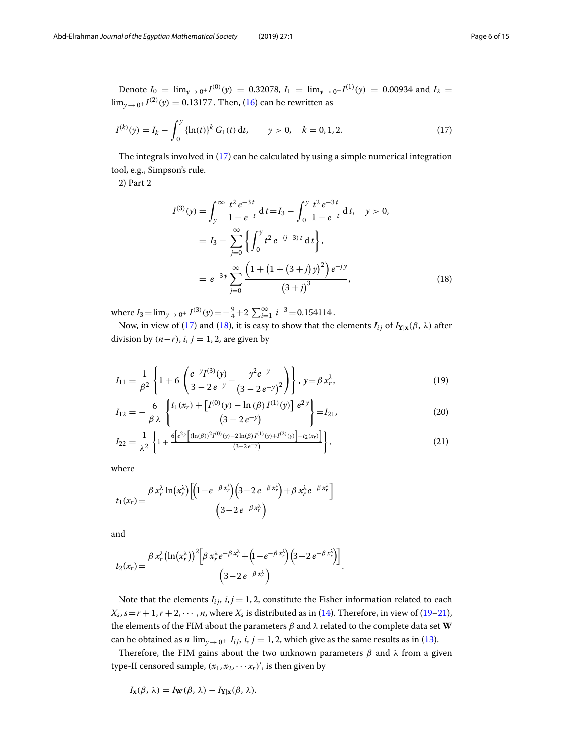Denote  $I_0 = \lim_{y \to 0^+} I^{(0)}(y) = 0.32078$ ,  $I_1 = \lim_{y \to 0^+} I^{(1)}(y) = 0.00934$  and  $I_2 =$  $\lim_{y \to 0^+} I^{(2)}(y) = 0.13177$  . Then, [\(16\)](#page-4-1) can be rewritten as

$$
I^{(k)}(y) = I_k - \int_0^y \{\ln(t)\}^k G_1(t) dt, \qquad y > 0, \quad k = 0, 1, 2.
$$
 (17)

The integrals involved in [\(17\)](#page-5-0) can be calculated by using a simple numerical integration tool, e.g., Simpson's rule.

2) Part 2

<span id="page-5-2"></span><span id="page-5-1"></span><span id="page-5-0"></span>
$$
I^{(3)}(y) = \int_{y}^{\infty} \frac{t^{2} e^{-3t}}{1 - e^{-t}} dt = I_{3} - \int_{0}^{y} \frac{t^{2} e^{-3t}}{1 - e^{-t}} dt, \quad y > 0,
$$
  

$$
= I_{3} - \sum_{j=0}^{\infty} \left\{ \int_{0}^{y} t^{2} e^{-(j+3)t} dt \right\},
$$
  

$$
= e^{-3y} \sum_{j=0}^{\infty} \frac{\left(1 + \left(1 + (3+j) y\right)^{2}\right) e^{-jy}}{\left(3 + j\right)^{3}}, \quad (18)
$$

where  $I_3 = \lim_{y \to 0^+} I^{(3)}(y) = -\frac{9}{4} + 2 \sum_{i=1}^{\infty} i^{-3} = 0.154114$ .

Now, in view of [\(17\)](#page-5-0) and [\(18\)](#page-5-1), it is easy to show that the elements  $I_{ij}$  of  $I_{\text{Y}|\textbf{x}}(\beta, \lambda)$  after division by  $(n−r)$ , *i*, *j* = 1, 2, are given by

$$
I_{11} = \frac{1}{\beta^2} \left\{ 1 + 6 \left( \frac{e^{-y} I^{(3)}(y)}{3 - 2 e^{-y}} - \frac{y^2 e^{-y}}{(3 - 2 e^{-y})^2} \right) \right\}, y = \beta x_r^{\lambda}, \tag{19}
$$

$$
I_{12} = -\frac{6}{\beta \lambda} \left\{ \frac{t_1(x_r) + [I^{(0)}(y) - \ln(\beta) I^{(1)}(y)] e^{2y}}{(3 - 2e^{-y})} \right\} = I_{21},
$$
\n(20)

<span id="page-5-3"></span>
$$
I_{22} = \frac{1}{\lambda^2} \left\{ 1 + \frac{6 \left[ e^{2y} \left[ (\ln(\beta))^2 I^{(0)}(y) - 2 \ln(\beta) I^{(1)}(y) + I^{(2)}(y) \right] - t_2(x_r) \right]}{(3 - 2e^{-y})} \right\},
$$
(21)

where

$$
t_1(x_r) = \frac{\beta x_r^{\lambda} \ln(x_r^{\lambda}) \left[ \left( 1 - e^{-\beta x_r^{\lambda}} \right) \left( 3 - 2 e^{-\beta x_r^{\lambda}} \right) + \beta x_r^{\lambda} e^{-\beta x_r^{\lambda}} \right]}{\left( 3 - 2 e^{-\beta x_r^{\lambda}} \right)}
$$

and

$$
t_2(x_r) = \frac{\beta x_r^{\lambda} (\ln(x_r^{\lambda}))^2 \left[\beta x_r^{\lambda} e^{-\beta x_r^{\lambda}} + \left(1 - e^{-\beta x_r^{\lambda}}\right) \left(3 - 2 e^{-\beta x_r^{\lambda}}\right)\right]}{\left(3 - 2 e^{-\beta x_r^{\lambda}}\right)}.
$$

Note that the elements  $I_{ij}$ ,  $i, j = 1, 2$ , constitute the Fisher information related to each  $X_s$ ,  $s = r + 1$ ,  $r + 2$ ,  $\cdots$ , *n*, where  $X_s$  is distributed as in [\(14\)](#page-4-2). Therefore, in view of [\(19](#page-5-2)[–21\)](#page-5-3), the elements of the FIM about the parameters  $\beta$  and  $\lambda$  related to the complete data set **W** can be obtained as *n* lim<sub>*y*  $\rightarrow$  0<sup>+</sup> *I<sub>ij</sub>*, *i*, *j* = 1, 2, which give as the same results as in [\(13\)](#page-4-3).</sub>

Therefore, the FIM gains about the two unknown parameters  $\beta$  and  $\lambda$  from a given type-II censored sample,  $(x_1, x_2, \cdots x_r)'$ , is then given by

$$
I_{\mathbf{x}}(\beta, \lambda) = I_{\mathbf{W}}(\beta, \lambda) - I_{\mathbf{Y}|\mathbf{x}}(\beta, \lambda).
$$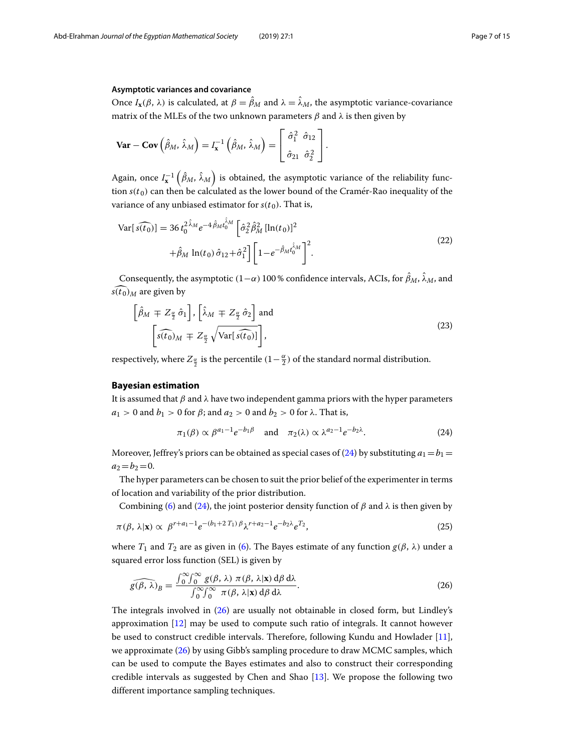#### **Asymptotic variances and covariance**

Once  $I_{\mathbf{x}}(\beta, \lambda)$  is calculated, at  $\beta = \beta_M$  and  $\lambda = \lambda_M$ , the asymptotic variance-covariance matrix of the MLEs of the two unknown parameters  $\beta$  and  $\lambda$  is then given by

$$
\mathbf{Var} - \mathbf{Cov} \left( \hat{\beta}_M, \hat{\lambda}_M \right) = I_{\mathbf{x}}^{-1} \left( \hat{\beta}_M, \hat{\lambda}_M \right) = \begin{bmatrix} \hat{\sigma}_1^2 & \hat{\sigma}_{12} \\ \hat{\sigma}_{21} & \hat{\sigma}_2^2 \end{bmatrix}.
$$

Again, once  $I_{\mathbf{x}}^{-1}\left(\hat{\beta}_M, \hat{\lambda}_M\right)$  is obtained, the asymptotic variance of the reliability function  $s(t_0)$  can then be calculated as the lower bound of the Cramer-Rao inequality of the variance of any unbiased estimator for  $s(t_0)$ . That is,

$$
\text{Var}[s(t_0)] = 36 t_0^{2 \hat{\lambda}_M} e^{-4 \hat{\beta}_M t_0^{\hat{\lambda}_M}} \left[ \hat{\sigma}_2^2 \hat{\beta}_M^2 \left[ \ln(t_0) \right]^2 + \hat{\beta}_M \ln(t_0) \hat{\sigma}_{12} + \hat{\sigma}_1^2 \right] \left[ 1 - e^{-\hat{\beta}_M t_0^{\hat{\lambda}_M}} \right]^2.
$$
\n(22)

Consequently, the asymptotic (1–α) 100 % confidence intervals, ACIs, for  $β<sub>M</sub>$ , λ<sub>*M*</sub>, and  $\widehat{s(t_0)}_M$  are given by

$$
\left[\hat{\beta}_M \mp Z_{\frac{\alpha}{2}} \hat{\sigma}_1\right], \left[\hat{\lambda}_M \mp Z_{\frac{\alpha}{2}} \hat{\sigma}_2\right] \text{ and}
$$
\n
$$
\left[\widehat{s(t_0)_M} \mp Z_{\frac{\alpha}{2}} \sqrt{\text{Var}\left[\widehat{s(t_0)}\right]}\right],
$$
\n(23)

respectively, where  $Z_{\frac{\alpha}{2}}$  is the percentile  $(1-\frac{\alpha}{2})$  of the standard normal distribution.

#### <span id="page-6-0"></span>**Bayesian estimation**

It is assumed that  $\beta$  and  $\lambda$  have two independent gamma priors with the hyper parameters  $a_1 > 0$  and  $b_1 > 0$  for  $\beta$ ; and  $a_2 > 0$  and  $b_2 > 0$  for  $\lambda$ . That is,

<span id="page-6-3"></span><span id="page-6-2"></span><span id="page-6-1"></span>
$$
\pi_1(\beta) \propto \beta^{a_1 - 1} e^{-b_1 \beta} \quad \text{and} \quad \pi_2(\lambda) \propto \lambda^{a_2 - 1} e^{-b_2 \lambda}.
$$
 (24)

Moreover, Jeffrey's priors can be obtained as special cases of [\(24\)](#page-6-1) by substituting  $a_1 = b_1 =$  $a_2 = b_2 = 0.$ 

The hyper parameters can be chosen to suit the prior belief of the experimenter in terms of location and variability of the prior distribution.

Combining [\(6\)](#page-1-3) and [\(24\)](#page-6-1), the joint posterior density function of  $\beta$  and  $\lambda$  is then given by

$$
\pi(\beta, \lambda | \mathbf{x}) \propto \beta^{r+a_1-1} e^{-(b_1+2T_1)\beta} \lambda^{r+a_2-1} e^{-b_2\lambda} e^{T_2}, \tag{25}
$$

where  $T_1$  and  $T_2$  are as given in [\(6\)](#page-1-3). The Bayes estimate of any function  $g(\beta, \lambda)$  under a

squared error loss function (SEL) is given by  
\n
$$
\widehat{g(\beta, \lambda)}_B = \frac{\int_0^\infty \int_0^\infty g(\beta, \lambda) \pi(\beta, \lambda | \mathbf{x}) d\beta d\lambda}{\int_0^\infty \int_0^\infty \pi(\beta, \lambda | \mathbf{x}) d\beta d\lambda}.
$$
\n(26)

The integrals involved in [\(26\)](#page-6-2) are usually not obtainable in closed form, but Lindley's approximation [\[12\]](#page-14-11) may be used to compute such ratio of integrals. It cannot however be used to construct credible intervals. Therefore, following Kundu and Howlader [\[11\]](#page-14-10), we approximate [\(26\)](#page-6-2) by using Gibb's sampling procedure to draw MCMC samples, which can be used to compute the Bayes estimates and also to construct their corresponding credible intervals as suggested by Chen and Shao [\[13\]](#page-14-12). We propose the following two different importance sampling techniques.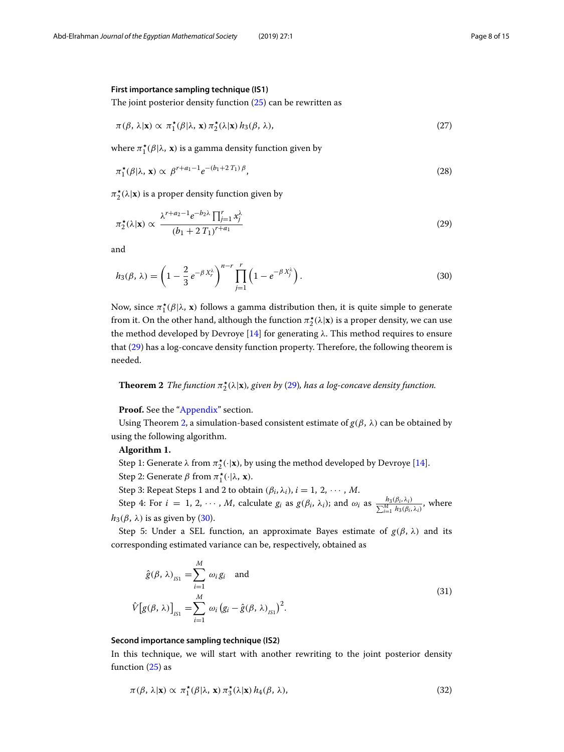#### **First importance sampling technique (IS1)**

The joint posterior density function  $(25)$  can be rewritten as

<span id="page-7-3"></span>
$$
\pi(\beta, \lambda | \mathbf{x}) \propto \pi_1^{\star}(\beta | \lambda, \mathbf{x}) \pi_2^{\star}(\lambda | \mathbf{x}) h_3(\beta, \lambda), \tag{27}
$$

where  $\pi_1^{\star}(\beta | \lambda, \mathbf{x})$  is a gamma density function given by

<span id="page-7-0"></span>
$$
\pi_1^{\star}(\beta|\lambda, \mathbf{x}) \propto \beta^{r+a_1-1} e^{-(b_1+2T_1)\beta}, \tag{28}
$$

 $\pi_2^{\star}(\lambda|\mathbf{x})$  is a proper density function given by

$$
\pi_2^{\star}(\lambda|\mathbf{x}) \propto \frac{\lambda^{r+a_2-1}e^{-b_2\lambda}\prod_{j=1}^r x_j^{\lambda}}{(b_1+2T_1)^{r+a_1}}
$$
\n(29)

<span id="page-7-2"></span>and

$$
h_3(\beta,\lambda) = \left(1 - \frac{2}{3}e^{-\beta X_r^{\lambda}}\right)^{n-r} \prod_{j=1}^r \left(1 - e^{-\beta X_j^{\lambda}}\right). \tag{30}
$$

Now, since  $\pi_1^{\star}(\beta|\lambda, \mathbf{x})$  follows a gamma distribution then, it is quite simple to generate from it. On the other hand, although the function  $\pi_2^{\star}(\lambda | \mathbf{x})$  is a proper density, we can use the method developed by Devroye [\[14\]](#page-14-13) for generating  $\lambda$ . This method requires to ensure that [\(29\)](#page-7-0) has a log-concave density function property. Therefore, the following theorem is needed.

# <span id="page-7-1"></span>**Theorem 2** *The function*  $\pi_2^{\star}(\lambda|\mathbf{x})$ *, given by* [\(29\)](#page-7-0)*, has a log-concave density function.*

Proof. See the ["Appendix"](#page-12-0) section.

Using Theorem [2,](#page-7-1) a simulation-based consistent estimate of  $g(\beta, \lambda)$  can be obtained by using the following algorithm.

#### **Algorithm 1.**

Step 1: Generate  $\lambda$  from  $\pi_2^{\star}(\cdot|\mathbf{x})$ , by using the method developed by Devroye [\[14\]](#page-14-13).

Step 2: Generate  $\beta$  from  $\pi_1^{\star}(\cdot|\lambda, \mathbf{x})$ .

Step 3: Repeat Steps 1 and 2 to obtain  $(\beta_i, \lambda_i)$ ,  $i = 1, 2, \dots, M$ .

Step 4: For *i* = 1, 2,  $\dots$ , *M*, calculate *g<sub>i</sub>* as  $g(\beta_i, \lambda_i)$ ; and  $\omega_i$  as  $\frac{h_3(\beta_i, \lambda_i)}{\sum_{i=1}^M h_3(\beta_i, \lambda_i)}$ , where  $h_3(\beta, \lambda)$  is as given by [\(30\)](#page-7-2).

Step 5: Under a SEL function, an approximate Bayes estimate of  $g(\beta, \lambda)$  and its corresponding estimated variance can be, respectively, obtained as

$$
\hat{g}(\beta, \lambda)_{I_{S1}} = \sum_{i=1}^{M} \omega_i g_i \text{ and}
$$
\n
$$
\hat{V}[g(\beta, \lambda)]_{I_{S1}} = \sum_{i=1}^{M} \omega_i (g_i - \hat{g}(\beta, \lambda)_{I_{S1}})^2.
$$
\n(31)

#### **Second importance sampling technique (IS2)**

In this technique, we will start with another rewriting to the joint posterior density function [\(25\)](#page-6-3) as

$$
\pi(\beta, \lambda | \mathbf{x}) \propto \pi_1^{\star}(\beta | \lambda, \mathbf{x}) \pi_3^{\star}(\lambda | \mathbf{x}) h_4(\beta, \lambda), \tag{32}
$$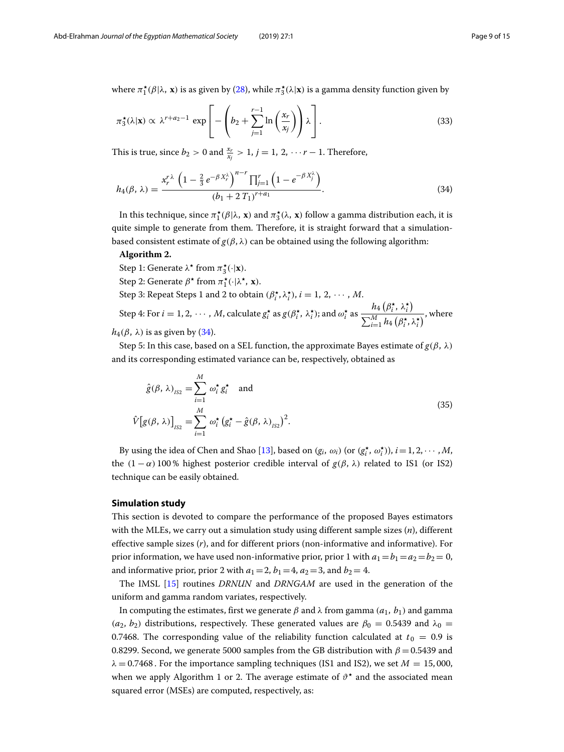where  $\pi_1^{\star}(\beta|\lambda, \mathbf{x})$  is as given by [\(28\)](#page-7-3), while  $\pi_3^{\star}(\lambda|\mathbf{x})$  is a gamma density function given by

$$
\pi_3^{\star}(\lambda|\mathbf{x}) \propto \lambda^{r+a_2-1} \exp\left[-\left(b_2 + \sum_{j=1}^{r-1} \ln\left(\frac{x_r}{x_j}\right)\right)\lambda\right].
$$
\n(33)

This is true, since  $b_2 > 0$  and  $\frac{x_r}{x_j} > 1$ ,  $j = 1, 2, \dots r - 1$ . Therefore,

<span id="page-8-1"></span>
$$
h_4(\beta,\lambda) = \frac{x_r^{r\lambda} \left(1 - \frac{2}{3}e^{-\beta X_r^{\lambda}}\right)^{n-r} \prod_{j=1}^r \left(1 - e^{-\beta X_j^{\lambda}}\right)}{(b_1 + 2 T_1)^{r+a_1}}.
$$
\n(34)

In this technique, since  $\pi_1^{\star}(\beta|\lambda, \mathbf{x})$  and  $\pi_3^{\star}(\lambda, \mathbf{x})$  follow a gamma distribution each, it is quite simple to generate from them. Therefore, it is straight forward that a simulationbased consistent estimate of  $g(\beta, \lambda)$  can be obtained using the following algorithm:

#### **Algorithm 2.**

Step 1: Generate  $\lambda^*$  from  $\pi_3^*(\cdot|\mathbf{x})$ . Step 2: Generate  $\beta^*$  from  $\pi_1^{\star}(\cdot|\lambda^{\star}, \mathbf{x})$ . Step 3: Repeat Steps 1 and 2 to obtain  $(\beta_i^{\star}, \lambda_i^{\star})$ ,  $i = 1, 2, \dots, M$ . Step 4: For  $i = 1, 2, \dots, M$ , calculate  $g_i^{\star}$  as  $g(\beta_i^{\star}, \lambda_i^{\star})$ ; and  $\omega_i^{\star}$  as  $\frac{h_4(\beta_i^{\star}, \lambda_i^{\star})}{\sum_{i=1}^M h_i(\beta_i^{\star}, \lambda_i^{\star})}$  $\frac{M}{\sum_{i=1}^{M} h_4\left(\beta_i^{\star}, \lambda_i^{\star}\right)}$ , where  $h_4(\beta, \lambda)$  is as given by [\(34\)](#page-8-1).

Step 5: In this case, based on a SEL function, the approximate Bayes estimate of  $g(\beta, \lambda)$ and its corresponding estimated variance can be, respectively, obtained as

$$
\hat{g}(\beta, \lambda)_{\scriptscriptstyle{IS2}} = \sum_{i=1}^{M} \omega_i^{\star} g_i^{\star} \quad \text{and}
$$
\n
$$
\hat{V}[g(\beta, \lambda)]_{\scriptscriptstyle{IS2}} = \sum_{i=1}^{M} \omega_i^{\star} (g_i^{\star} - \hat{g}(\beta, \lambda)_{\scriptscriptstyle{IS2}})^2.
$$
\n(35)

By using the idea of Chen and Shao [\[13\]](#page-14-12), based on  $(g_i, \omega_i)$  (or  $(g_i^*, \omega_i^*)$ ),  $i = 1, 2, \dots, M$ , the  $(1 - \alpha)$  100% highest posterior credible interval of *g*(*β*, λ) related to IS1 (or IS2) technique can be easily obtained.

#### <span id="page-8-0"></span>**Simulation study**

This section is devoted to compare the performance of the proposed Bayes estimators with the MLEs, we carry out a simulation study using different sample sizes (*n*), different effective sample sizes (*r*), and for different priors (non-informative and informative). For prior information, we have used non-informative prior, prior 1 with  $a_1 = b_1 = a_2 = b_2 = 0$ , and informative prior, prior 2 with  $a_1 = 2$ ,  $b_1 = 4$ ,  $a_2 = 3$ , and  $b_2 = 4$ .

The IMSL [\[15\]](#page-14-14) routines *DRNUN* and *DRNGAM* are used in the generation of the uniform and gamma random variates, respectively.

In computing the estimates, first we generate  $\beta$  and  $\lambda$  from gamma ( $a_1$ ,  $b_1$ ) and gamma  $(a_2, b_2)$  distributions, respectively. These generated values are  $\beta_0 = 0.5439$  and  $\lambda_0 =$ 0.7468. The corresponding value of the reliability function calculated at  $t_0 = 0.9$  is 0.8299. Second, we generate 5000 samples from the GB distribution with  $\beta = 0.5439$  and  $\lambda = 0.7468$ . For the importance sampling techniques (IS1 and IS2), we set  $M = 15,000$ , when we apply Algorithm 1 or 2. The average estimate of  $\vartheta^*$  and the associated mean squared error (MSEs) are computed, respectively, as: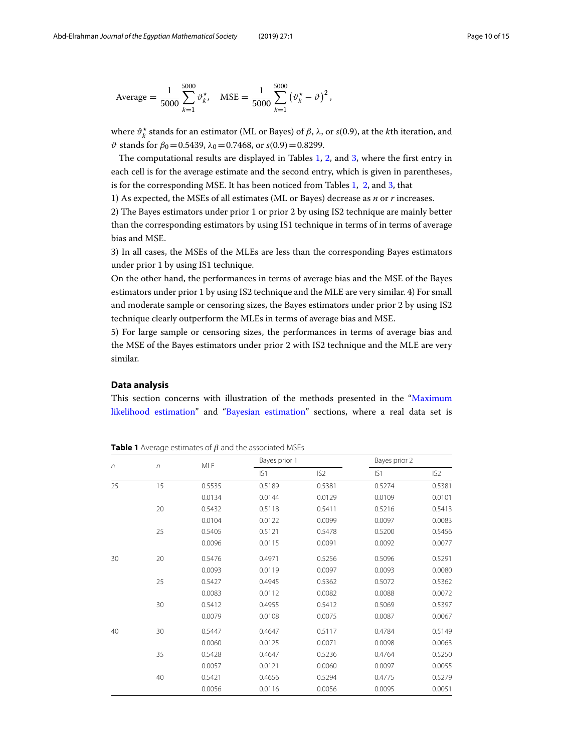Average = 
$$
\frac{1}{5000} \sum_{k=1}^{5000} \vartheta_k^{\star}
$$
, MSE =  $\frac{1}{5000} \sum_{k=1}^{5000} (\vartheta_k^{\star} - \vartheta)^2$ ,

where  $\vartheta_k^{\star}$  stands for an estimator (ML or Bayes) of  $\beta$ , λ, or *s*(0.9), at the *k*th iteration, and  $θ$  stands for  $β_0 = 0.5439$ ,  $λ_0 = 0.7468$ , or  $s(0.9) = 0.8299$ .

The computational results are displayed in Tables [1,](#page-9-1) [2,](#page-10-0) and [3,](#page-10-1) where the first entry in each cell is for the average estimate and the second entry, which is given in parentheses, is for the corresponding MSE. It has been noticed from Tables [1,](#page-9-1) [2,](#page-10-0) and [3,](#page-10-1) that

1) As expected, the MSEs of all estimates (ML or Bayes) decrease as *n* or *r* increases.

2) The Bayes estimators under prior 1 or prior 2 by using IS2 technique are mainly better than the corresponding estimators by using IS1 technique in terms of in terms of average bias and MSE.

3) In all cases, the MSEs of the MLEs are less than the corresponding Bayes estimators under prior 1 by using IS1 technique.

On the other hand, the performances in terms of average bias and the MSE of the Bayes estimators under prior 1 by using IS2 technique and the MLE are very similar. 4) For small and moderate sample or censoring sizes, the Bayes estimators under prior 2 by using IS2 technique clearly outperform the MLEs in terms of average bias and MSE.

5) For large sample or censoring sizes, the performances in terms of average bias and the MSE of the Bayes estimators under prior 2 with IS2 technique and the MLE are very similar.

#### <span id="page-9-0"></span>**Data analysis**

This section concerns with illustration of the methods presented in the ["Maximum](#page-1-5) [likelihood estimation"](#page-1-5) and ["Bayesian estimation"](#page-6-0) sections, where a real data set is

| $\sqrt{n}$ | $\sqrt{n}$ | <b>MLE</b> | Bayes prior 1 |                 | Bayes prior 2 |                 |
|------------|------------|------------|---------------|-----------------|---------------|-----------------|
|            |            |            | IS1           | IS <sub>2</sub> | IS1           | IS <sub>2</sub> |
| 25         | 15         | 0.5535     | 0.5189        | 0.5381          | 0.5274        | 0.5381          |
|            |            | 0.0134     | 0.0144        | 0.0129          | 0.0109        | 0.0101          |
|            | 20         | 0.5432     | 0.5118        | 0.5411          | 0.5216        | 0.5413          |
|            |            | 0.0104     | 0.0122        | 0.0099          | 0.0097        | 0.0083          |
|            | 25         | 0.5405     | 0.5121        | 0.5478          | 0.5200        | 0.5456          |
|            |            | 0.0096     | 0.0115        | 0.0091          | 0.0092        | 0.0077          |
| 30         | 20         | 0.5476     | 0.4971        | 0.5256          | 0.5096        | 0.5291          |
|            |            | 0.0093     | 0.0119        | 0.0097          | 0.0093        | 0.0080          |
|            | 25         | 0.5427     | 0.4945        | 0.5362          | 0.5072        | 0.5362          |
|            |            | 0.0083     | 0.0112        | 0.0082          | 0.0088        | 0.0072          |
|            | 30         | 0.5412     | 0.4955        | 0.5412          | 0.5069        | 0.5397          |
|            |            | 0.0079     | 0.0108        | 0.0075          | 0.0087        | 0.0067          |
| 40         | 30         | 0.5447     | 0.4647        | 0.5117          | 0.4784        | 0.5149          |
|            |            | 0.0060     | 0.0125        | 0.0071          | 0.0098        | 0.0063          |
|            | 35         | 0.5428     | 0.4647        | 0.5236          | 0.4764        | 0.5250          |
|            |            | 0.0057     | 0.0121        | 0.0060          | 0.0097        | 0.0055          |
|            | 40         | 0.5421     | 0.4656        | 0.5294          | 0.4775        | 0.5279          |
|            |            | 0.0056     | 0.0116        | 0.0056          | 0.0095        | 0.0051          |

<span id="page-9-1"></span>**Table 1** Average estimates of  $\beta$  and the associated MSEs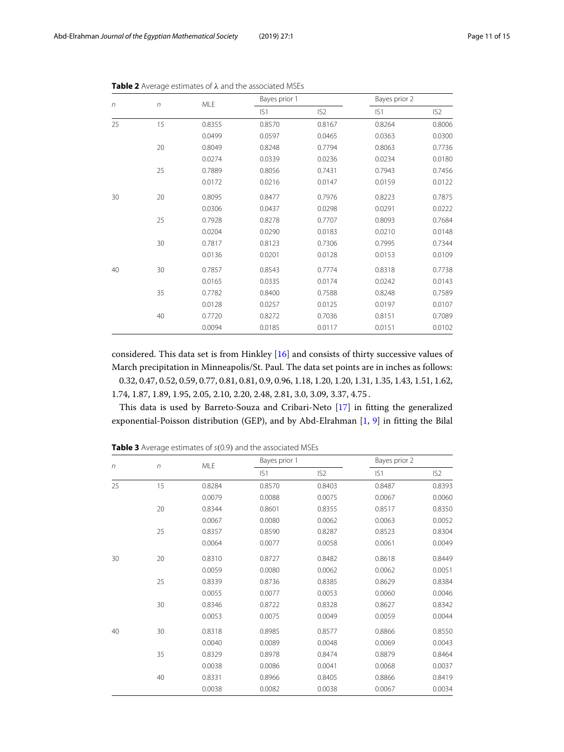<span id="page-10-0"></span>

| $\sqrt{n}$ | $\sqrt{n}$ | <b>MLE</b> | Bayes prior 1 |                 | Bayes prior 2 |                 |
|------------|------------|------------|---------------|-----------------|---------------|-----------------|
|            |            |            | IS1           | IS <sub>2</sub> | IS1           | IS <sub>2</sub> |
| 25         | 15         | 0.8355     | 0.8570        | 0.8167          | 0.8264        | 0.8006          |
|            |            | 0.0499     | 0.0597        | 0.0465          | 0.0363        | 0.0300          |
|            | 20         | 0.8049     | 0.8248        | 0.7794          | 0.8063        | 0.7736          |
|            |            | 0.0274     | 0.0339        | 0.0236          | 0.0234        | 0.0180          |
|            | 25         | 0.7889     | 0.8056        | 0.7431          | 0.7943        | 0.7456          |
|            |            | 0.0172     | 0.0216        | 0.0147          | 0.0159        | 0.0122          |
| 30         | 20         | 0.8095     | 0.8477        | 0.7976          | 0.8223        | 0.7875          |
|            |            | 0.0306     | 0.0437        | 0.0298          | 0.0291        | 0.0222          |
|            | 25         | 0.7928     | 0.8278        | 0.7707          | 0.8093        | 0.7684          |
|            |            | 0.0204     | 0.0290        | 0.0183          | 0.0210        | 0.0148          |
|            | 30         | 0.7817     | 0.8123        | 0.7306          | 0.7995        | 0.7344          |
|            |            | 0.0136     | 0.0201        | 0.0128          | 0.0153        | 0.0109          |
| 40         | 30         | 0.7857     | 0.8543        | 0.7774          | 0.8318        | 0.7738          |
|            |            | 0.0165     | 0.0335        | 0.0174          | 0.0242        | 0.0143          |
|            | 35         | 0.7782     | 0.8400        | 0.7588          | 0.8248        | 0.7589          |
|            |            | 0.0128     | 0.0257        | 0.0125          | 0.0197        | 0.0107          |
|            | 40         | 0.7720     | 0.8272        | 0.7036          | 0.8151        | 0.7089          |
|            |            | 0.0094     | 0.0185        | 0.0117          | 0.0151        | 0.0102          |

**Table 2** Average estimates of λ and the associated MSEs

considered. This data set is from Hinkley [\[16\]](#page-14-15) and consists of thirty successive values of March precipitation in Minneapolis/St. Paul. The data set points are in inches as follows: 0.32, 0.47, 0.52, 0.59, 0.77, 0.81, 0.81, 0.9, 0.96, 1.18, 1.20, 1.20, 1.31, 1.35, 1.43, 1.51, 1.62, 1.74, 1.87, 1.89, 1.95, 2.05, 2.10, 2.20, 2.48, 2.81, 3.0, 3.09, 3.37, 4.75 .

This data is used by Barreto-Souza and Cribari-Neto [\[17\]](#page-14-16) in fitting the generalized exponential-Poisson distribution (GEP), and by Abd-Elrahman [\[1,](#page-14-0) [9\]](#page-14-8) in fitting the Bilal

| $\sqrt{n}$ | $\sqrt{n}$ | MLE    | Bayes prior 1 |                 | Bayes prior 2 |                 |
|------------|------------|--------|---------------|-----------------|---------------|-----------------|
|            |            |        | IS1           | IS <sub>2</sub> | IS1           | IS <sub>2</sub> |
| 25         | 15         | 0.8284 | 0.8570        | 0.8403          | 0.8487        | 0.8393          |
|            |            | 0.0079 | 0.0088        | 0.0075          | 0.0067        | 0.0060          |
|            | 20         | 0.8344 | 0.8601        | 0.8355          | 0.8517        | 0.8350          |
|            |            | 0.0067 | 0.0080        | 0.0062          | 0.0063        | 0.0052          |
|            | 25         | 0.8357 | 0.8590        | 0.8287          | 0.8523        | 0.8304          |
|            |            | 0.0064 | 0.0077        | 0.0058          | 0.0061        | 0.0049          |
| 30         | 20         | 0.8310 | 0.8727        | 0.8482          | 0.8618        | 0.8449          |
|            |            | 0.0059 | 0.0080        | 0.0062          | 0.0062        | 0.0051          |
|            | 25         | 0.8339 | 0.8736        | 0.8385          | 0.8629        | 0.8384          |
|            |            | 0.0055 | 0.0077        | 0.0053          | 0.0060        | 0.0046          |
|            | 30         | 0.8346 | 0.8722        | 0.8328          | 0.8627        | 0.8342          |
|            |            | 0.0053 | 0.0075        | 0.0049          | 0.0059        | 0.0044          |
| 40         | 30         | 0.8318 | 0.8985        | 0.8577          | 0.8866        | 0.8550          |
|            |            | 0.0040 | 0.0089        | 0.0048          | 0.0069        | 0.0043          |
|            | 35         | 0.8329 | 0.8978        | 0.8474          | 0.8879        | 0.8464          |
|            |            | 0.0038 | 0.0086        | 0.0041          | 0.0068        | 0.0037          |
|            | 40         | 0.8331 | 0.8966        | 0.8405          | 0.8866        | 0.8419          |
|            |            | 0.0038 | 0.0082        | 0.0038          | 0.0067        | 0.0034          |

<span id="page-10-1"></span>**Table 3** Average estimates of s(0.9) and the associated MSEs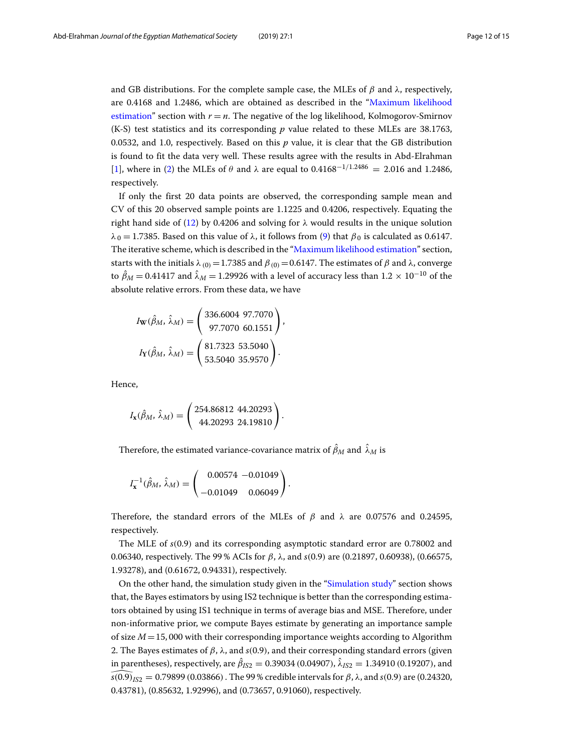and GB distributions. For the complete sample case, the MLEs of  $\beta$  and  $\lambda$ , respectively, are 0.4168 and 1.2486, which are obtained as described in the ["Maximum likelihood](#page-1-5) [estimation"](#page-1-5) section with  $r = n$ . The negative of the log likelihood, Kolmogorov-Smirnov (K-S) test statistics and its corresponding *p* value related to these MLEs are 38.1763, 0.0532, and 1.0, respectively. Based on this *p* value, it is clear that the GB distribution is found to fit the data very well. These results agree with the results in Abd-Elrahman [\[1\]](#page-14-0), where in [\(2\)](#page-1-0) the MLEs of  $\theta$  and  $\lambda$  are equal to 0.4168<sup>-1/1.2486</sup> = 2.016 and 1.2486, respectively.

If only the first 20 data points are observed, the corresponding sample mean and CV of this 20 observed sample points are 1.1225 and 0.4206, respectively. Equating the right hand side of [\(12\)](#page-3-3) by 0.4206 and solving for  $\lambda$  would results in the unique solution  $\lambda_0 = 1.7385$ . Based on this value of  $\lambda$ , it follows from [\(9\)](#page-2-2) that  $\beta_0$  is calculated as 0.6147. The iterative scheme, which is described in the ["Maximum likelihood estimation"](#page-1-1) section, starts with the initials  $\lambda_{(0)} = 1.7385$  and  $\beta_{(0)} = 0.6147$ . The estimates of  $\beta$  and  $\lambda$ , converge to  $\hat{\beta}_M = 0.41417$  and  $\hat{\lambda}_M = 1.29926$  with a level of accuracy less than  $1.2 \times 10^{-10}$  of the absolute relative errors. From these data, we have

,

.

$$
I_{\mathbf{W}}(\hat{\beta}_M, \hat{\lambda}_M) = \begin{pmatrix} 336.6004 & 97.7070 \\ 97.7070 & 60.1551 \end{pmatrix}
$$

$$
I_{\mathbf{Y}}(\hat{\beta}_M, \hat{\lambda}_M) = \begin{pmatrix} 81.7323 & 53.5040 \\ 53.5040 & 35.9570 \end{pmatrix}.
$$

Hence,

$$
I_{\mathbf{x}}(\hat{\beta}_M, \hat{\lambda}_M) = \begin{pmatrix} 254.86812 & 44.20293 \\ 44.20293 & 24.19810 \end{pmatrix}
$$

Therefore, the estimated variance-covariance matrix of  $\beta_M$  and  $\,\lambda_M$  is

$$
I_{\mathbf{x}}^{-1}(\hat{\beta}_M, \hat{\lambda}_M) = \begin{pmatrix} 0.00574 & -0.01049 \\ -0.01049 & 0.06049 \end{pmatrix}
$$

Therefore, the standard errors of the MLEs of  $\beta$  and  $\lambda$  are 0.07576 and 0.24595, respectively.

.

The MLE of *s*(0.9) and its corresponding asymptotic standard error are 0.78002 and 0.06340, respectively. The 99 % ACIs for β, λ, and *s*(0.9) are (0.21897, 0.60938), (0.66575, 1.93278), and (0.61672, 0.94331), respectively.

On the other hand, the simulation study given in the ["Simulation study"](#page-8-0) section shows that, the Bayes estimators by using IS2 technique is better than the corresponding estimators obtained by using IS1 technique in terms of average bias and MSE. Therefore, under non-informative prior, we compute Bayes estimate by generating an importance sample of size *M*=15, 000 with their corresponding importance weights according to Algorithm 2. The Bayes estimates of  $β$ ,  $λ$ , and  $s(0.9)$ , and their corresponding standard errors (given in parentheses), respectively, are  $\hat{\beta}_{IS2} = 0.39034$  (0.04907),  $\lambda_{IS2} = 1.34910$  (0.19207), and *s*(0.9)<sub>*IS*2</sub> = 0.79899 (0.03866). The 99 % credible intervals for  $\beta$ , λ, and *s*(0.9) are (0.24320, 0.43781), (0.85632, 1.92996), and (0.73657, 0.91060), respectively.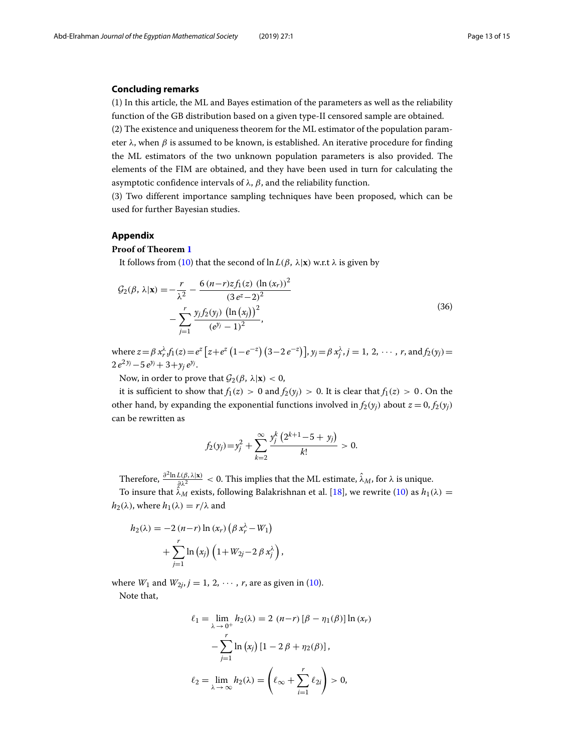#### **Concluding remarks**

(1) In this article, the ML and Bayes estimation of the parameters as well as the reliability function of the GB distribution based on a given type-II censored sample are obtained. (2) The existence and uniqueness theorem for the ML estimator of the population parameter  $\lambda$ , when  $\beta$  is assumed to be known, is established. An iterative procedure for finding the ML estimators of the two unknown population parameters is also provided. The elements of the FIM are obtained, and they have been used in turn for calculating the asymptotic confidence intervals of  $λ$ ,  $β$ , and the reliability function.

(3) Two different importance sampling techniques have been proposed, which can be used for further Bayesian studies.

#### **Appendix**

#### <span id="page-12-0"></span>**Proof of Theorem [1](#page-3-4)**

It follows from [\(10\)](#page-3-0) that the second of  $\ln L(\beta, \lambda|\mathbf{x})$  w.r.t  $\lambda$  is given by

$$
\mathcal{G}_2(\beta, \lambda | \mathbf{x}) = -\frac{r}{\lambda^2} - \frac{6 (n-r)z f_1(z) (\ln (x_r))^2}{(3 e^z - 2)^2} - \sum_{j=1}^r \frac{y_j f_2(y_j) (\ln (x_j))^2}{(e^{y_j} - 1)^2},
$$
\n(36)

where  $z = \beta x_r^{\lambda} f_1(z) = e^z [z + e^z (1 - e^{-z}) (3 - 2 e^{-z})]$ ,  $y_j = \beta x_j^{\lambda}$ ,  $j = 1, 2, \dots$ , r, and  $f_2(y_j) =$  $2 e^{2 y_j}-5 e^{y_j}+3+y_i e^{y_j}$ .

Now, in order to prove that  $\mathcal{G}_2(\beta, \lambda | \mathbf{x}) < 0$ ,

it is sufficient to show that  $f_1(z) > 0$  and  $f_2(y_i) > 0$ . It is clear that  $f_1(z) > 0$ . On the other hand, by expanding the exponential functions involved in  $f_2(y_j)$  about  $z = 0$ ,  $f_2(y_j)$ can be rewritten as

$$
f_2(y_j) = y_j^2 + \sum_{k=2}^{\infty} \frac{y_j^k (2^{k+1} - 5 + y_j)}{k!} > 0.
$$

Therefore,  $\frac{\partial^2 \ln L(\beta, \lambda | \mathbf{x})}{\partial \lambda^2} < 0$ . This implies that the ML estimate,  $\hat{\lambda}_M$ , for  $\lambda$  is unique. To insure that  $\hat{\lambda}_M^{\hat{\mu}}$  exists, following Balakrishnan et al. [\[18\]](#page-14-17), we rewrite [\(10\)](#page-3-0) as  $h_1(\lambda) =$  $h_2(\lambda)$ , where  $h_1(\lambda) = r/\lambda$  and

$$
h_2(\lambda) = -2 (n-r) \ln (x_r) (\beta x_r^{\lambda} - W_1) + \sum_{j=1}^r \ln (x_j) (1 + W_{2j} - 2 \beta x_j^{\lambda}),
$$

where  $W_1$  and  $W_{2i}$ ,  $j = 1, 2, \dots$ , r, are as given in [\(10\)](#page-3-0).

Note that,

$$
\ell_1 = \lim_{\lambda \to 0^+} h_2(\lambda) = 2 (n-r) [\beta - \eta_1(\beta)] \ln (x_r)
$$

$$
- \sum_{j=1}^r \ln (x_j) [1 - 2\beta + \eta_2(\beta)],
$$

$$
\ell_2 = \lim_{\lambda \to \infty} h_2(\lambda) = \left(\ell_\infty + \sum_{i=1}^r \ell_{2i}\right) > 0,
$$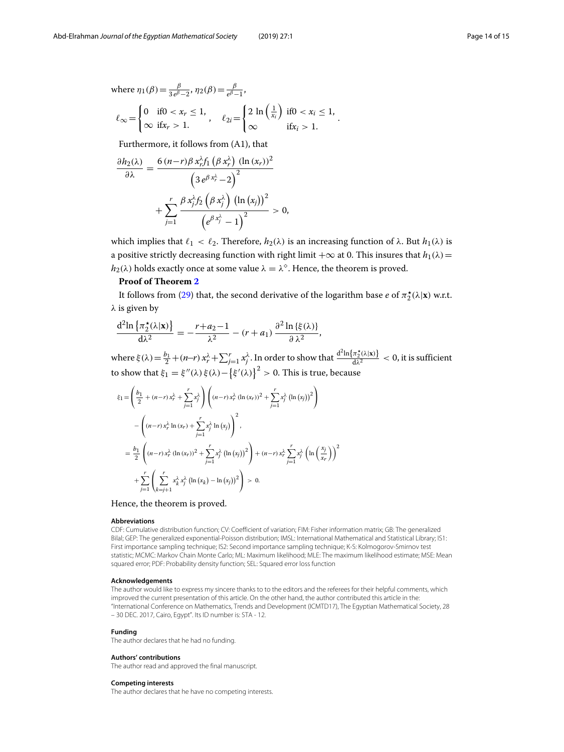where 
$$
\eta_1(\beta) = \frac{\beta}{3 e^{\beta} - 2}
$$
,  $\eta_2(\beta) = \frac{\beta}{e^{\beta} - 1}$ ,  
\n
$$
\ell_{\infty} = \begin{cases}\n0 & \text{if } 0 < x_r \le 1, \\
\infty & \text{if } x_r > 1.\n\end{cases}, \quad \ell_{2i} = \begin{cases}\n2 \ln \left(\frac{1}{x_i}\right) & \text{if } 0 < x_i \le 1, \\
\infty & \text{if } x_i > 1.\n\end{cases}
$$

Furthermore, it follows from (A1), that

$$
\frac{\partial h_2(\lambda)}{\partial \lambda} = \frac{6 (n-r) \beta x_r^{\lambda} f_1 \left(\beta x_r^{\lambda}\right) (\ln (x_r))^2}{\left(3 e^{\beta x_r^{\lambda}} - 2\right)^2} + \sum_{j=1}^r \frac{\beta x_j^{\lambda} f_2 \left(\beta x_j^{\lambda}\right) (\ln (x_j))^2}{\left(e^{\beta x_j^{\lambda}} - 1\right)^2} > 0,
$$

which implies that  $\ell_1 < \ell_2$ . Therefore,  $h_2(\lambda)$  is an increasing function of  $\lambda$ . But  $h_1(\lambda)$  is a positive strictly decreasing function with right limit  $+\infty$  at 0. This insures that  $h_1(\lambda)$  =  $h_2(\lambda)$  holds exactly once at some value  $\lambda = \lambda^{\diamond}$ . Hence, the theorem is proved.

### **Proof of Theorem [2](#page-7-1)**

It follows from [\(29\)](#page-7-0) that, the second derivative of the logarithm base  $e$  of  $\pi_2^{\star}(\lambda|\mathbf{x})$  w.r.t.  $\lambda$  is given by

$$
\frac{d^2 \ln \left\{ \pi_2^{\star}(\lambda | \mathbf{x}) \right\}}{d \lambda^2} = -\frac{r + a_2 - 1}{\lambda^2} - (r + a_1) \frac{\partial^2 \ln \left\{ \xi(\lambda) \right\}}{\partial \lambda^2},
$$

where  $\xi(\lambda) = \frac{b_1}{2} + (n-r) x_r^{\lambda} + \sum_{j=1}^r x_j^{\lambda}$ . In order to show that  $\frac{d^2 \ln\{\pi_2^{\star}(\lambda|x)\}}{d\lambda^2} < 0$ , it is sufficient to show that  $\xi_1 = \xi''(\lambda)\xi(\lambda) - \left\{\xi'(\lambda)\right\}^2 > 0$ . This is true, because

$$
\xi_{1} = \left(\frac{b_{1}}{2} + (n-r)x_{r}^{\lambda} + \sum_{j=1}^{r} x_{j}^{\lambda}\right) \left((n-r)x_{r}^{\lambda} (\ln(x_{r}))^{2} + \sum_{j=1}^{r} x_{j}^{\lambda} (\ln(x_{j}))^{2}\right)
$$

$$
- \left((n-r)x_{r}^{\lambda} \ln(x_{r}) + \sum_{j=1}^{r} x_{j}^{\lambda} \ln(x_{j})\right)^{2},
$$

$$
= \frac{b_{1}}{2} \left((n-r)x_{r}^{\lambda} (\ln(x_{r}))^{2} + \sum_{j=1}^{r} x_{j}^{\lambda} (\ln(x_{j}))^{2}\right) + (n-r)x_{r}^{\lambda} \sum_{j=1}^{r} x_{j}^{\lambda} (\ln\left(\frac{x_{j}}{x_{r}}\right))^{2}
$$

$$
+ \sum_{j=1}^{r} \left(\sum_{k=j+1}^{r} x_{k}^{\lambda} x_{j}^{\lambda} (\ln(x_{k}) - \ln(x_{j}))^{2}\right) > 0.
$$

Hence, the theorem is proved.

#### **Abbreviations**

CDF: Cumulative distribution function; CV: Coefficient of variation; FIM: Fisher information matrix; GB: The generalized Bilal; GEP: The generalized exponential-Poisson distribution; IMSL: International Mathematical and Statistical Library; IS1: First importance sampling technique; IS2: Second importance sampling technique; K-S: Kolmogorov-Smirnov test statistic; MCMC: Markov Chain Monte Carlo; ML: Maximum likelihood; MLE: The maximum likelihood estimate; MSE: Mean squared error; PDF: Probability density function; SEL: Squared error loss function

#### **Acknowledgements**

The author would like to express my sincere thanks to to the editors and the referees for their helpful comments, which improved the current presentation of this article. On the other hand, the author contributed this article in the: "International Conference on Mathematics, Trends and Development (ICMTD17), The Egyptian Mathematical Society, 28 – 30 DEC. 2017, Cairo, Egypt". Its ID number is: STA - 12.

#### **Funding**

The author declares that he had no funding.

#### **Authors' contributions**

The author read and approved the final manuscript.

#### **Competing interests**

The author declares that he have no competing interests.